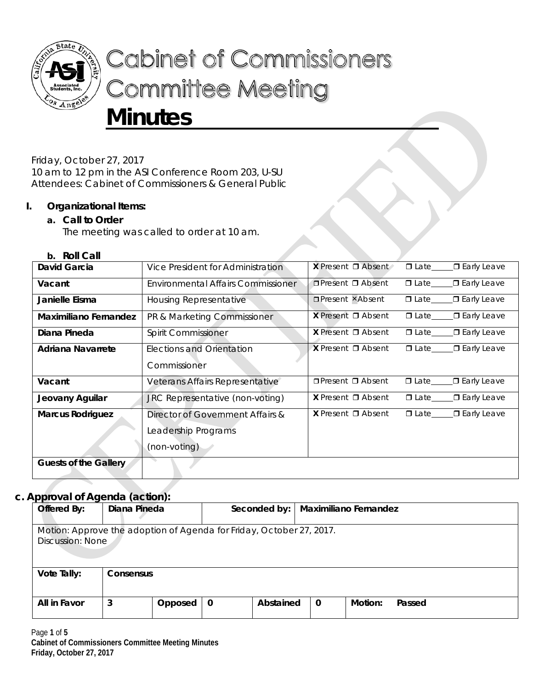

# **Cabinet of Commissioners Committee Meeting Minutes**

Friday, October 27, 2017

10 am to 12 pm in the ASI Conference Room 203, U-SU Attendees: Cabinet of Commissioners & General Public

# **I. Organizational Items:**

# **a. Call to Order**

The meeting was called to order at 10 am.

## **b. Roll Call**

| David Garcia                 | Vice President for Administration  | <b>X</b> Present $\Box$ Absent |             | ∟ <b>□</b> Early Leave |
|------------------------------|------------------------------------|--------------------------------|-------------|------------------------|
| Vacant                       | Environmental Affairs Commissioner | $\Box$ Present $\Box$ Absent   | $\Box$ Late | □ Early Leave          |
| Janielle Eisma               | Housing Representative             | <b>OPresent xAbsent</b>        | $\Box$ Late | $\Box$ Early Leave     |
| <b>Maximiliano Fernandez</b> | PR & Marketing Commissioner        | <b>X</b> Present $\Box$ Absent | $\Box$ Late | <b>□</b> Early Leave   |
| Diana Pineda                 | <b>Spirit Commissioner</b>         | <b>X</b> Present $\Box$ Absent | $\Box$ Late | <b>□</b> Early Leave   |
| Adriana Navarrete            | Elections and Orientation          | <b>X</b> Present $\Box$ Absent | $\Box$ Late | ∟ <b>□</b> Early Leave |
|                              | Commissioner                       |                                |             |                        |
| Vacant                       | Veterans Affairs Representative    | $\Box$ Present $\Box$ Absent   | $\Box$ Late | <b>□</b> Early Leave   |
| Jeovany Aguilar              | JRC Representative (non-voting)    | <b>X</b> Present $\Box$ Absent | $\Box$ Late | ∟ <b>□</b> Early Leave |
| <b>Marcus Rodriguez</b>      | Director of Government Affairs &   | <b>X</b> Present $\Box$ Absent | $\Box$ Late | $\Box$ Early Leave     |
|                              | Leadership Programs                |                                |             |                        |
|                              | (non-voting)                       |                                |             |                        |
| <b>Guests of the Gallery</b> |                                    |                                |             |                        |

# **c. Approval of Agenda (action):**

| Offered By:                                                                              | Diana Pineda |         |   | Seconded by: |             | <b>Maximiliano Fernandez</b> |        |
|------------------------------------------------------------------------------------------|--------------|---------|---|--------------|-------------|------------------------------|--------|
| Motion: Approve the adoption of Agenda for Friday, October 27, 2017.<br>Discussion: None |              |         |   |              |             |                              |        |
| Vote Tally:                                                                              | Consensus    |         |   |              |             |                              |        |
| All in Favor                                                                             | 3            | Opposed | 0 | Abstained    | $\mathbf 0$ | Motion:                      | Passed |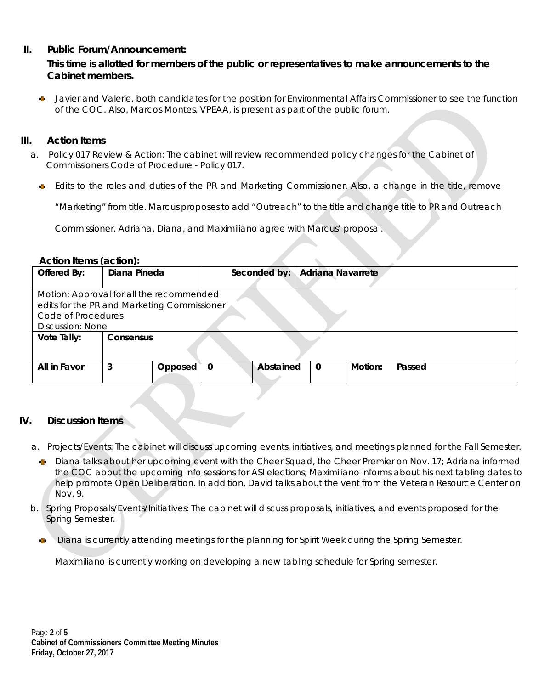## **II. Public Forum/Announcement:**

## **This time is allotted for members of the public or representatives to make announcements to the Cabinet members.**

Javier and Valerie, both candidates for the position for Environmental Affairs Commissioner to see the function of the COC. Also, Marcos Montes, VPEAA, is present as part of the public forum.

#### **III. Action Items**

- a. Policy 017 Review & Action: The cabinet will review recommended policy changes for the Cabinet of Commissioners Code of Procedure - Policy 017.
	- Edits to the roles and duties of the PR and Marketing Commissioner. Also, a change in the title, remove

"Marketing" from title. Marcus proposes to add "Outreach" to the title and change title to PR and Outreach

Commissioner. Adriana, Diana, and Maximiliano agree with Marcus' proposal.

#### **Action Items (action):**

| Motion: Approval for all the recommended    |  |  |  |  |  |  |
|---------------------------------------------|--|--|--|--|--|--|
| edits for the PR and Marketing Commissioner |  |  |  |  |  |  |
| Code of Procedures                          |  |  |  |  |  |  |
| <b>Discussion: None</b>                     |  |  |  |  |  |  |
| Vote Tally:<br><b>Consensus</b>             |  |  |  |  |  |  |
|                                             |  |  |  |  |  |  |
|                                             |  |  |  |  |  |  |
|                                             |  |  |  |  |  |  |
|                                             |  |  |  |  |  |  |
|                                             |  |  |  |  |  |  |

#### **IV. Discussion Items**

- a. Projects/Events: The cabinet will discuss upcoming events, initiatives, and meetings planned for the Fall Semester.
	- **Diana talks about her upcoming event with the Cheer Squad, the Cheer Premier on Nov. 17; Adriana informed** the COC about the upcoming info sessions for ASI elections; Maximiliano informs about his next tabling dates to help promote Open Deliberation. In addition, David talks about the vent from the Veteran Resource Center on Nov. 9.
- b. Spring Proposals/Events/Initiatives: The cabinet will discuss proposals, initiatives, and events proposed for the Spring Semester.
	- Diana is currently attending meetings for the planning for Spirit Week during the Spring Semester.

Maximiliano is currently working on developing a new tabling schedule for Spring semester.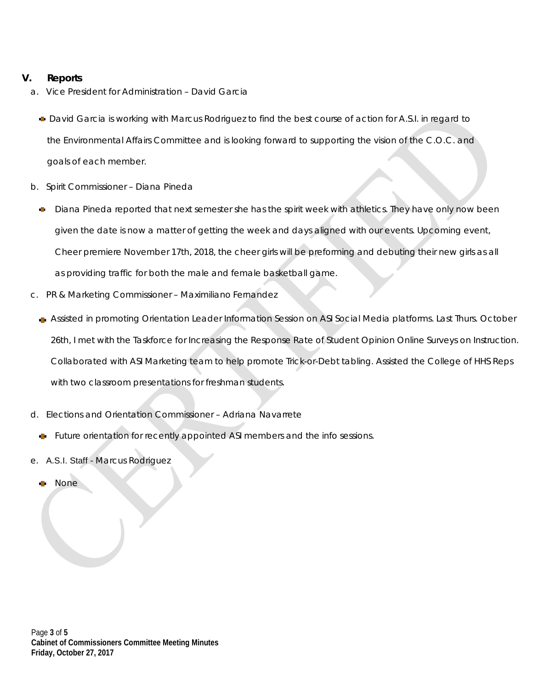# **V. Reports**

- a. Vice President for Administration David Garcia
	- David Garcia is working with Marcus Rodriguez to find the best course of action for A.S.I. in regard to the Environmental Affairs Committee and is looking forward to supporting the vision of the C.O.C. and goals of each member.
- b. Spirit Commissioner Diana Pineda
	- Diana Pineda reported that next semester she has the spirit week with athletics. They have only now been given the date is now a matter of getting the week and days aligned with our events. Upcoming event, Cheer premiere November 17th, 2018, the cheer girls will be preforming and debuting their new girls as all as providing traffic for both the male and female basketball game.
- c. PR & Marketing Commissioner Maximiliano Fernandez
	- Assisted in promoting Orientation Leader Information Session on ASI Social Media platforms. Last Thurs. October 26th, I met with the Taskforce for Increasing the Response Rate of Student Opinion Online Surveys on Instruction. Collaborated with ASI Marketing team to help promote Trick-or-Debt tabling. Assisted the College of HHS Reps with two classroom presentations for freshman students.
- d. Elections and Orientation Commissioner Adriana Navarrete
	- Future orientation for recently appointed ASI members and the info sessions.
- e. A.S.I. Staff Marcus Rodriguez
	- None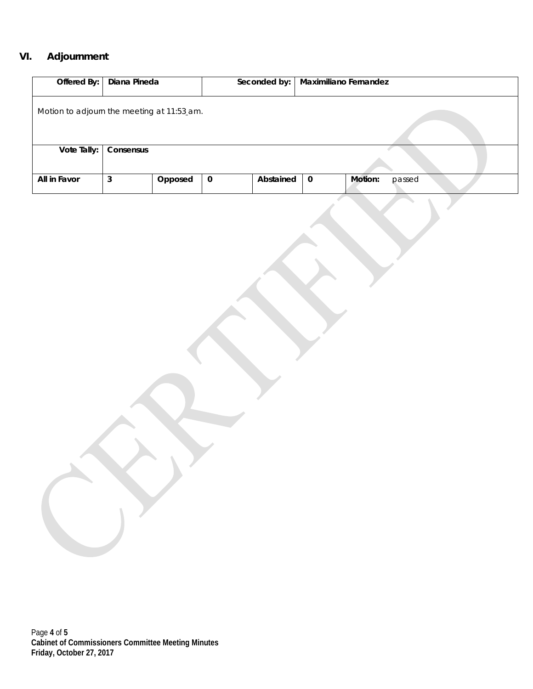# **VI. Adjournment**

| Offered By:                                | Diana Pineda |         |             | Seconded by: | Maximiliano Fernandez |                   |
|--------------------------------------------|--------------|---------|-------------|--------------|-----------------------|-------------------|
| Motion to adjourn the meeting at 11:53 am. |              |         |             |              |                       |                   |
|                                            |              |         |             |              |                       |                   |
| Vote Tally:                                | Consensus    |         |             |              |                       |                   |
| All in Favor                               | 3            | Opposed | $\mathbf 0$ | Abstained    | $\mathbf 0$           | Motion:<br>passed |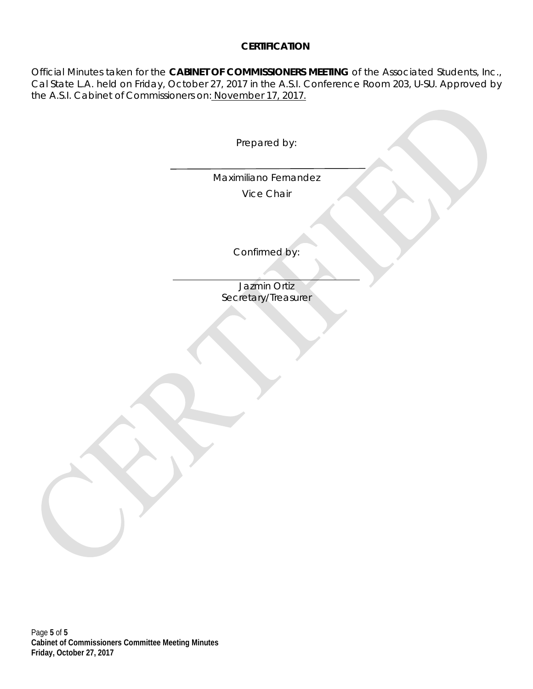# **CERTIFICATION**

Official Minutes taken for the **CABINET OF COMMISSIONERS MEETING** of the Associated Students, Inc., Cal State L.A. held on Friday, October 27, 2017 in the A.S.I. Conference Room 203, U-SU. Approved by the A.S.I. Cabinet of Commissioners on: November 17, 2017.

Prepared by:

Maximiliano Fernandez Vice Chair

Confirmed by:

Jazmin Ortiz Secretary/Treasurer